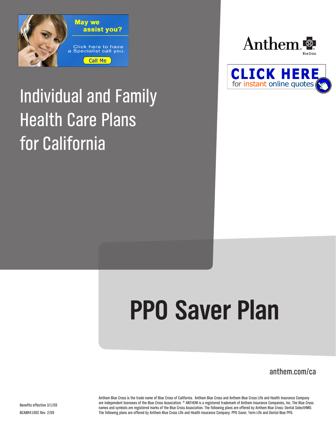

## Individual and Family Health Care Plans for California





# **PPO Saver Plan**

anthem.com/ca

Anthem Blue Cross is the trade name of Blue Cross of California. Anthem Blue Cross and Anthem Blue Cross Life and Health Insurance Company are independent licensees of the Blue Cross Association. ® ANTHEM is a registered trademark of Anthem Insurance Companies, Inc. The Blue Cross names and symbols are registered marks of the Blue Cross Association. The following plans are offered by Anthem Blue Cross: Dental SelectHMO. The following plans are offered by Anthem Blue Cross Life and Health Insurance Company: PPO Saver, Term Life and Dental Blue PPO.

Benefits effective 3/1/09 BCABR4190C Rev. 2/09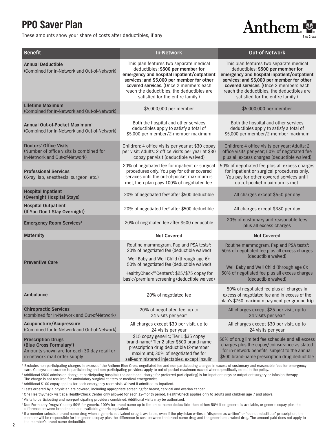### **PPO Saver Plan**

These amounts show your share of costs after deductibles, if any



| <b>Benefit</b>                                                                                                                                   | <b>In-Network</b>                                                                                                                                                                                                                                                                                      | <b>Out-of-Network</b>                                                                                                                                                                                                                                                                                  |
|--------------------------------------------------------------------------------------------------------------------------------------------------|--------------------------------------------------------------------------------------------------------------------------------------------------------------------------------------------------------------------------------------------------------------------------------------------------------|--------------------------------------------------------------------------------------------------------------------------------------------------------------------------------------------------------------------------------------------------------------------------------------------------------|
| <b>Annual Deductible</b><br>(Combined for In-Network and Out-of-Network)                                                                         | This plan features two separate medical<br>deductibles: \$500 per member for<br>emergency and hospital inpatient/outpatient<br>services; and \$5,000 per member for other<br>covered services. (Once 2 members each<br>reach the deductibles, the deductibles are<br>satisfied for the entire family.) | This plan features two separate medical<br>deductibles: \$500 per member for<br>emergency and hospital inpatient/outpatient<br>services; and \$5,000 per member for other<br>covered services. (Once 2 members each<br>reach the deductibles, the deductibles are<br>satisfied for the entire family.) |
| <b>Lifetime Maximum</b><br>(Combined for In-Network and Out-of-Network)                                                                          | \$5,000,000 per member                                                                                                                                                                                                                                                                                 | \$5,000,000 per member                                                                                                                                                                                                                                                                                 |
| Annual Out-of-Pocket Maximum <sup>1</sup><br>(Combined for In-Network and Out-of-Network)                                                        | Both the hospital and other services<br>deductibles apply to satisfy a total of<br>\$5,000 per member/2-member maximum                                                                                                                                                                                 | Both the hospital and other services<br>deductibles apply to satisfy a total of<br>\$5,000 per member/2-member maximum                                                                                                                                                                                 |
| <b>Doctors' Office Visits</b><br>(Number of office visits is combined for<br>In-Network and Out-of-Network)                                      | Children: 4 office visits per year at \$30 copay<br>per visit; Adults: 2 office visits per year at \$30<br>copay per visit (deductible waived)                                                                                                                                                         | Children: 4 office visits per year; Adults: 2<br>office visits per year; 50% of negotiated fee<br>plus all excess charges (deductible waived)                                                                                                                                                          |
| <b>Professional Services</b><br>(X-ray, lab, anesthesia, surgeon, etc.)                                                                          | 20% of negotiated fee for inpatient or surgical<br>procedures only. You pay for other covered<br>services until the out-of-pocket maximum is<br>met, then plan pays 100% of negotiated fee.                                                                                                            | 50% of negotiated fee plus all excess charges<br>for inpatient or surgical procedures only.<br>You pay for other covered services until<br>out-of-pocket maximum is met.                                                                                                                               |
| <b>Hospital Inpatient</b><br>(Overnight Hospital Stays)                                                                                          | 20% of negotiated fee <sup>2</sup> after \$500 deductible                                                                                                                                                                                                                                              | All charges except \$650 per day                                                                                                                                                                                                                                                                       |
| <b>Hospital Outpatient</b><br>(If You Don't Stay Overnight)                                                                                      | 20% of negotiated fee <sup>2</sup> after \$500 deductible                                                                                                                                                                                                                                              | All charges except \$380 per day                                                                                                                                                                                                                                                                       |
| <b>Emergency Room Services<sup>3</sup></b>                                                                                                       | 20% of negotiated fee after \$500 deductible                                                                                                                                                                                                                                                           | 20% of customary and reasonable fees<br>plus all excess charges                                                                                                                                                                                                                                        |
| <b>Maternity</b>                                                                                                                                 | <b>Not Covered</b>                                                                                                                                                                                                                                                                                     | <b>Not Covered</b>                                                                                                                                                                                                                                                                                     |
| <b>Preventive Care</b>                                                                                                                           | Routine mammogram, Pap and PSA tests <sup>4</sup> :<br>20% of negotiated fee (deductible waived)<br>Well Baby and Well Child (through age 6):<br>50% of negotiated fee (deductible waived)<br>HealthyCheck <sup>sM</sup> Centers <sup>5</sup> : \$25/\$75 copay for                                    | Routine mammogram, Pap and PSA tests <sup>4</sup> :<br>50% of negotiated fee plus all excess charges<br>(deductible waived)<br>Well Baby and Well Child (through age 6):<br>50% of negotiated fee plus all excess charges                                                                              |
|                                                                                                                                                  | basic/premium screening (deductible waived)                                                                                                                                                                                                                                                            | (deductible waived)                                                                                                                                                                                                                                                                                    |
| Ambulance                                                                                                                                        | 20% of negotiated fee                                                                                                                                                                                                                                                                                  | 50% of negotiated fee plus all charges in<br>excess of negotiated fee and in excess of the<br>plan's \$750 maximum payment per ground trip                                                                                                                                                             |
| <b>Chiropractic Services</b><br>(combined for In-Network and Out-of-Network)                                                                     | 20% of negotiated fee, up to<br>24 visits per year <sup>6</sup>                                                                                                                                                                                                                                        | All charges except \$25 per visit, up to<br>24 visits per year <sup>6</sup>                                                                                                                                                                                                                            |
| Acupuncture/Acupressure<br>(Combined for In-Network and Out-of-Network)                                                                          | All charges except \$30 per visit, up to<br>24 visits per year                                                                                                                                                                                                                                         | All charges except \$30 per visit, up to<br>24 visits per year                                                                                                                                                                                                                                         |
| <b>Prescription Drugs</b><br>(Blue Cross Formulary <sup>7</sup> )<br>Amounts shown are for each 30-day retail or<br>in-network mail order supply | \$15 copay generic; Tier 1 \$35 copay<br>brand-name <sup>8</sup> Tier 2 after \$500 brand-name<br>prescription drug deductible (2-member<br>maximum); 30% of negotiated fee for<br>self-administered injectables, except insulin                                                                       | 50% of drug limited fee schedule and all excess<br>charges plus the copay/coinsurance as stated<br>for in-network benefits; subject to the annual<br>\$500 brand-name prescription drug deductible                                                                                                     |

<sup>1</sup> Excludes non-participating charges in excess of the Anthem Blue Cross negotiated fee and non-participating charges in excess of customary and reasonable fees for emergency

care. Copays/coinsurance to participating and non-participating providers apply to out-of-pocket maximum except where specifically noted in the policy.

2 Additional \$500 admission charge at participating hospitals (no additional charge for preferred participating) is for inpatient stays or outpatient surgery or infusion therapy. The charge is not required for ambulatory surgical centers or medical emergencies.

3 Additional \$100 copay applies for each emergency room visit. Waived if admitted as inpatient.

4 Tests ordered by a physician are covered, including appropriate screening for breast, cervical and ovarian cancer.

5 One HealthyCheck visit at a HealthyCheck Center only allowed for each 12-month period. HealthyCheck applies only to adults and children age 7 and above.

6 Visits to participating and non-participating providers combined. Additional visits may be authorized.

7 Non-Formulary Drugs: You pay 50% for generic, 100% for brand-name up to the brand-name deductible, then either: 50% if no generic is available, or generic copay plus the difference between brand-name and available generic equivalent.

8 If a member selects a brand-name drug when a generic equivalent drug is available, even if the physician writes a "dispense as written" or "do not substitute" prescription, the member will be responsible for the generic copay plus the difference in cost between the brand-name drug and the generic equivalent drug. The amount paid does not apply to the member's brand-name deductible.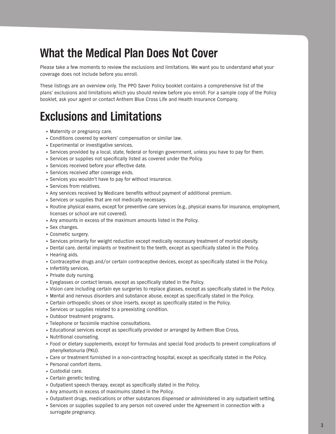## **What the Medical Plan Does Not Cover**

Please take a few moments to review the exclusions and limitations. We want you to understand what your coverage does not include before you enroll.

These listings are an overview only. The PPO Saver Policy booklet contains a comprehensive list of the plans' exclusions and limitations which you should review before you enroll. For a sample copy of the Policy booklet, ask your agent or contact Anthem Blue Cross Life and Health Insurance Company.

## **Exclusions and Limitations**

- Maternity or pregnancy care.
- • Conditions covered by workers' compensation or similar law.
- Experimental or investigative services.
- • Services provided by a local, state, federal or foreign government, unless you have to pay for them.
- • Services or supplies not specifically listed as covered under the Policy.
- • Services received before your effective date.
- • Services received after coverage ends.
- Services you wouldn't have to pay for without insurance.
- • Services from relatives.
- • Any services received by Medicare benefits without payment of additional premium.
- • Services or supplies that are not medically necessary.
- • Routine physical exams, except for preventive care services (e.g., physical exams for insurance, employment, licenses or school are not covered).
- Any amounts in excess of the maximum amounts listed in the Policy.
- • Sex changes.
- • Cosmetic surgery.
- • Services primarily for weight reduction except medically necessary treatment of morbid obesity.
- • Dental care, dental implants or treatment to the teeth, except as specifically stated in the Policy.
- Hearing aids.
- • Contraceptive drugs and/or certain contraceptive devices, except as specifically stated in the Policy.
- Infertility services.
- Private duty nursing.
- • Eyeglasses or contact lenses, except as specifically stated in the Policy.
- • Vision care including certain eye surgeries to replace glasses, except as specifically stated in the Policy.
- • Mental and nervous disorders and substance abuse, except as specifically stated in the Policy.
- • Certain orthopedic shoes or shoe inserts, except as specifically stated in the Policy.
- Services or supplies related to a preexisting condition.
- Outdoor treatment programs.
- • Telephone or facsimile machine consultations.
- • Educational services except as specifically provided or arranged by Anthem Blue Cross.
- • Nutritional counseling.
- • Food or dietary supplements, except for formulas and special food products to prevent complications of phenylketonuria (PKU).
- • Care or treatment furnished in a non-contracting hospital, except as specifically stated in the Policy.
- • Personal comfort items.
- • Custodial care.
- • Certain genetic testing.
- • Outpatient speech therapy, except as specifically stated in the Policy.
- Any amounts in excess of maximums stated in the Policy.
- • Outpatient drugs, medications or other substances dispensed or administered in any outpatient setting.
- • Services or supplies supplied to any person not covered under the Agreement in connection with a surrogate pregnancy.